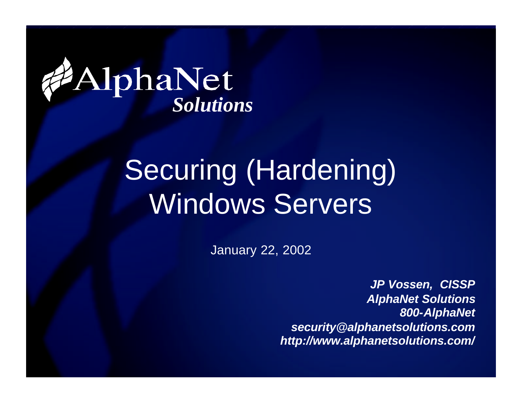

#### Securing (Hardening) Windows Servers

January 22, 2002

*JP Vossen, CISSP AlphaNet Solutions 800-AlphaNet security@alphanetsolutions.com http://www.alphanetsolutions.com/*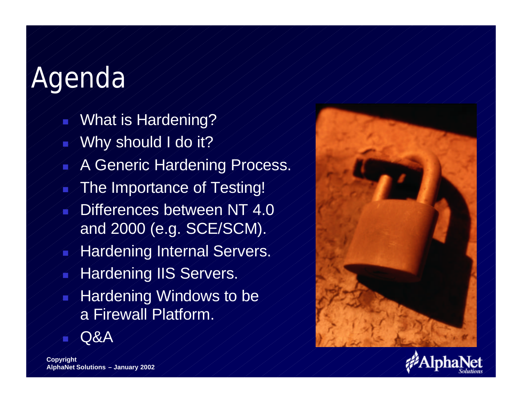#### Agenda

- What is Hardening?
- Why should I do it?
- A Generic Hardening Process.
- The Importance of Testing!
- Differences between NT 4.0 and 2000 (e.g. SCE/SCM).
- Hardening Internal Servers.
- **Hardening IIS Servers.**
- Hardening Windows to be a Firewall Platform.





**Copyright AlphaNet Solutions – January 2002**

<sup>n</sup> Q&A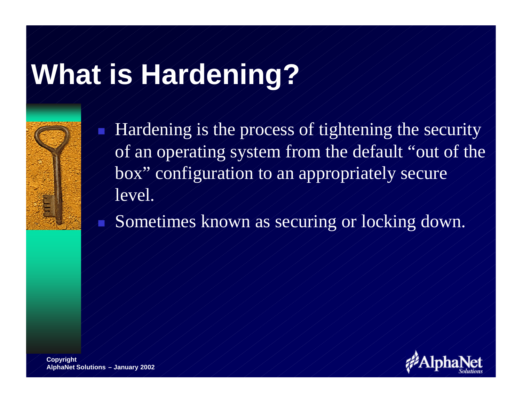# **What is Hardening?**



Hardening is the process of tightening the security of an operating system from the default "out of the box" configuration to an appropriately secure level.

Sometimes known as securing or locking down.

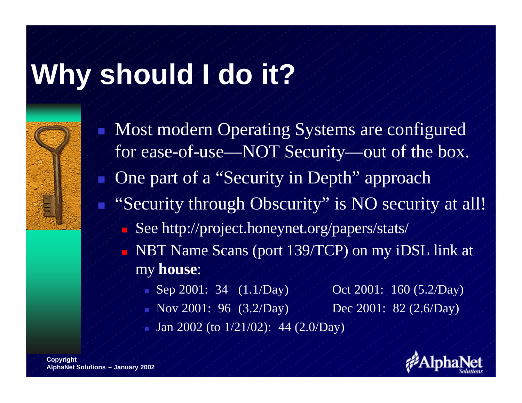#### **Why should I do it?**

- Most modern Operating Systems are configured for ease-of-use—NOT Security—out of the box.
- One part of a "Security in Depth" approach
- "Security through Obscurity" is NO security at all!"
	- See http://project.honeynet.org/papers/stats/
	- <sup>n</sup> NBT Name Scans (port 139/TCP) on my iDSL link at my **house**:
		- Nep 2001: 34 (1.1/Day) Oct 2001: 160 (5.2/Day)
		- Nov 2001: 96 (3.2/Day) Dec 2001: 82 (2.6/Day) <sup>n</sup> Jan 2002 (to 1/21/02): 44 (2.0/Day)

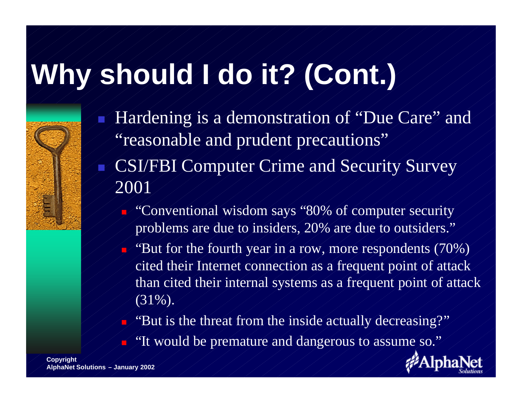# **Why should I do it? (Cont.)**

- Hardening is a demonstration of "Due Care" and "reasonable and prudent precautions" CSI/FBI Computer Crime and Security Survey 2001
	- n "Conventional wisdom says "80% of computer security problems are due to insiders, 20% are due to outsiders."
	- n "But for the fourth year in a row, more respondents (70%) cited their Internet connection as a frequent point of attack than cited their internal systems as a frequent point of attack (31%).
	- n "But is the threat from the inside actually decreasing?"
		- "It would be premature and dangerous to assume so."

**Copyright AlphaNet Solutions – January 2002**

n

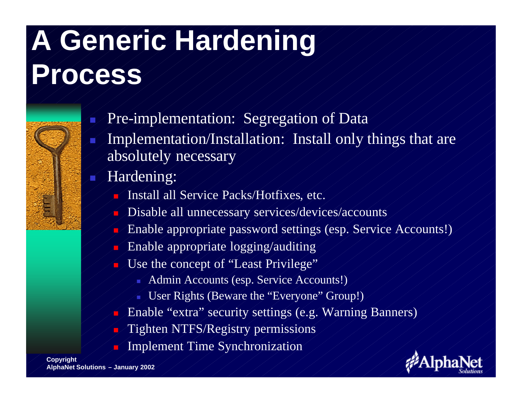# **A Generic Hardening**

#### **Process**

- Pre-implementation: Segregation of Data
- Implementation/Installation: Install only things that are absolutely necessary
	- Hardening:
		- Install all Service Packs/Hotfixes, etc.
		- Disable all unnecessary services/devices/accounts
		- <sup>n</sup> Enable appropriate password settings (esp. Service Accounts!)
		- Enable appropriate logging/auditing
		- Use the concept of "Least Privilege"
			- Admin Accounts (esp. Service Accounts!)
			- User Rights (Beware the "Everyone" Group!)
		- Enable "extra" security settings (e.g. Warning Banners)
		- Tighten NTFS/Registry permissions
		- Implement Time Synchronization

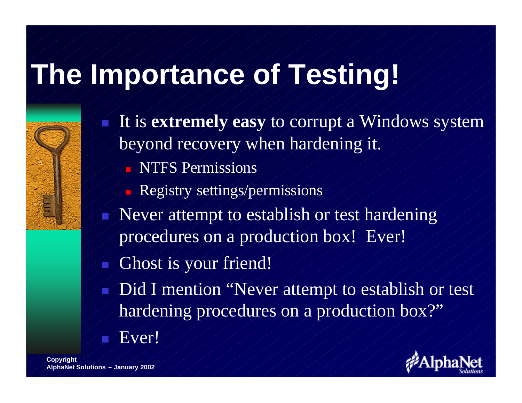#### **The Importance of Testing!**

- It is **extremely easy** to corrupt a Windows system beyond recovery when hardening it. **NTFS Permissions** Registry settings/permissions Never attempt to establish or test hardening procedures on a production box! Ever!
	- Ghost is your friend!
	- Did I mention "Never attempt to establish or test hardening procedures on a production box?" Ever!

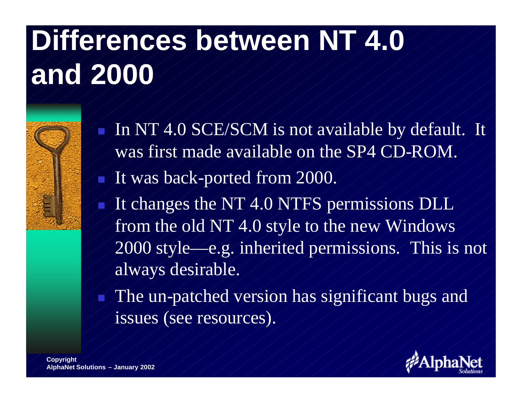# **Differences between NT 4.0 and 2000**



- <sup>n</sup> In NT 4.0 SCE/SCM is not available by default. It was first made available on the SP4 CD-ROM.
- It was back-ported from 2000.
- It changes the NT 4.0 NTFS permissions DLL from the old NT 4.0 style to the new Windows 2000 style—e.g. inherited permissions. This is not always desirable.
	- The un-patched version has significant bugs and issues (see resources).

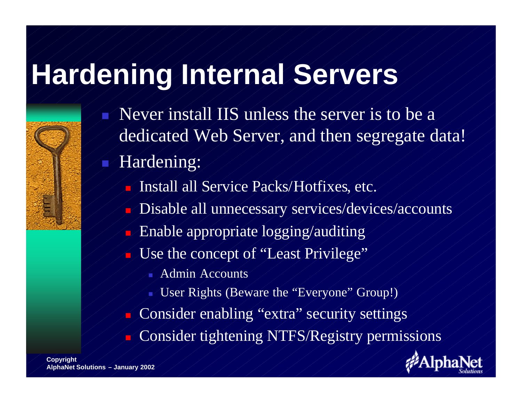#### **Hardening Internal Servers**

- <sup>n</sup> Never install IIS unless the server is to be a dedicated Web Server, and then segregate data!
- Hardening:
	- Install all Service Packs/Hotfixes, etc.
	- Disable all unnecessary services/devices/accounts
	- Enable appropriate logging/auditing
	- Use the concept of "Least Privilege"
		- **Admin Accounts**
		- User Rights (Beware the "Everyone" Group!)
	- Consider enabling "extra" security settings
	- Consider tightening NTFS/Registry permissions



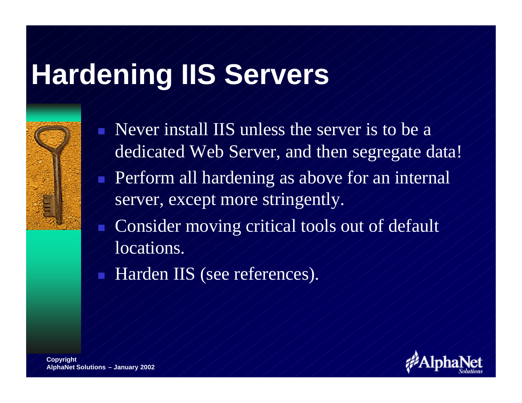# **Hardening IIS Servers**



Never install IIS unless the server is to be a dedicated Web Server, and then segregate data! Perform all hardening as above for an internal server, except more stringently. Consider moving critical tools out of default locations. Harden IIS (see references).

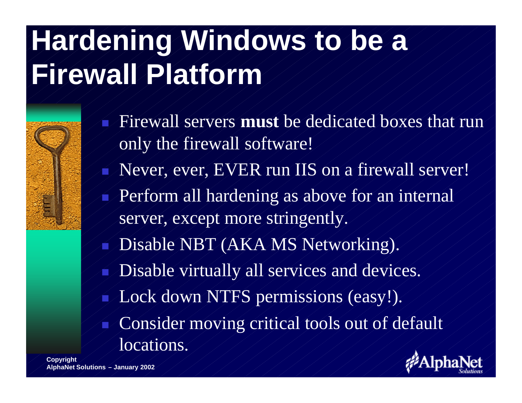# **Hardening Windows to be a Firewall Platform**

- Firewall servers **must** be dedicated boxes that run only the firewall software! Never, ever, EVER run IIS on a firewall server! Perform all hardening as above for an internal server, except more stringently. Disable NBT (AKA MS Networking). Disable virtually all services and devices. Lock down NTFS permissions (easy!).
	- Consider moving critical tools out of default locations.

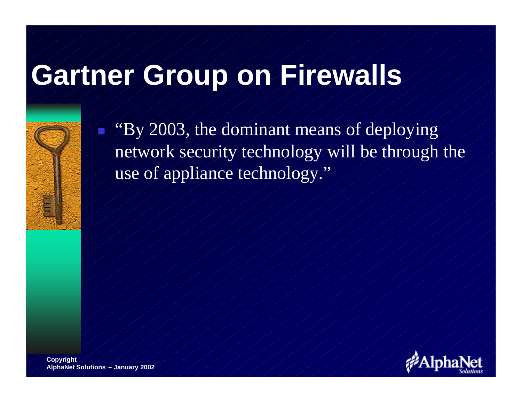#### **Gartner Group on Firewalls**



"By 2003, the dominant means of deploying network security technology will be through the use of appliance technology."